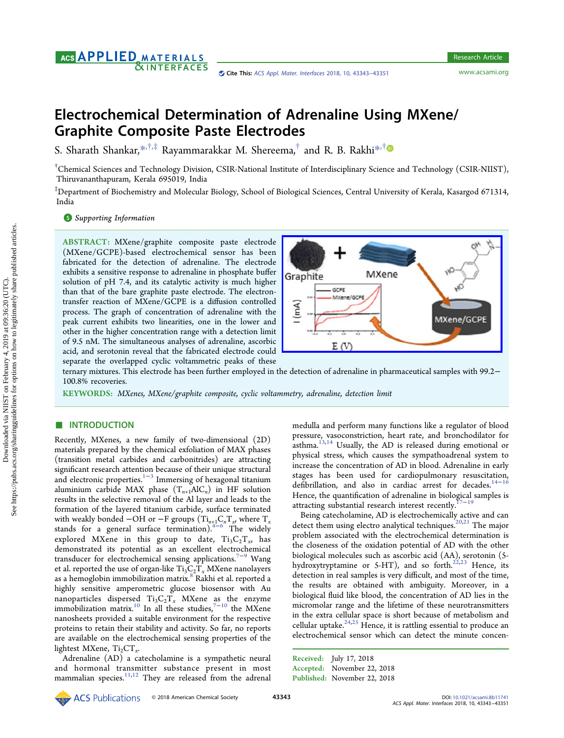# AGS **APPLIED** MATERIALS **&INTERFACES**

# Electrochemical Determination of Adrenaline Using MXene/ Graphite Composite Paste Electrodes

S. Sharath Shankar,[\\*](#page-6-0),\*,\* Rayammarakkar M. Shereema, $^{\dagger}$  and R. B. Rakhi\*,\*

 $^\dagger$ Chemical Sciences and Technology Division, CSIR-National Institute of Interdisciplinary Science and Technology (CSIR-NIIST), Thiruvananthapuram, Kerala 695019, India

‡ Department of Biochemistry and Molecular Biology, School of Biological Sciences, Central University of Kerala, Kasargod 671314, India

#### **S** [Supporting Information](#page-6-0)

ABSTRACT: MXene/graphite composite paste electrode (MXene/GCPE)-based electrochemical sensor has been fabricated for the detection of adrenaline. The electrode exhibits a sensitive response to adrenaline in phosphate buffer solution of pH 7.4, and its catalytic activity is much higher than that of the bare graphite paste electrode. The electrontransfer reaction of MXene/GCPE is a diffusion controlled process. The graph of concentration of adrenaline with the peak current exhibits two linearities, one in the lower and other in the higher concentration range with a detection limit of 9.5 nM. The simultaneous analyses of adrenaline, ascorbic acid, and serotonin reveal that the fabricated electrode could separate the overlapped cyclic voltammetric peaks of these



ternary mixtures. This electrode has been further employed in the detection of adrenaline in pharmaceutical samples with 99.2− 100.8% recoveries.

KEYWORDS: MXenes, MXene/graphite composite, cyclic voltammetry, adrenaline, detection limit

## ■ INTRODUCTION

Recently, MXenes, a new family of two-dimensional (2D) materials prepared by the chemical exfoliation of MAX phases (transition metal carbides and carbonitrides) are attracting significant research attention because of their unique structural and electronic properties.<sup>[1](#page-6-0)-[3](#page-6-0)</sup> Immersing of hexagonal titanium aluminium carbide MAX phase  $(T_{n+1}AIC_n)$  in HF solution results in the selective removal of the Al layer and leads to the formation of the layered titanium carbide, surface terminated with weakly bonded −OH or −F groups ( $Ti_{n+1}C_nT_x$ , where  $T_x$ stands for a general surface termination). $4-\delta$  $4-\delta$  The widely explored MXene in this group to date,  $Ti_3C_2T_x$ , has demonstrated its potential as an excellent electrochemical transducer for electrochemical sensing applications.<sup>[7](#page-6-0)−[9](#page-6-0)</sup> Wang et al. reported the use of organ-like  $Ti_3C_2T_x$  MXene nanolayers as a hemoglobin immobilization matrix.<sup>[8](#page-6-0)</sup> Rakhi et al. reported a highly sensitive amperometric glucose biosensor with Au nanoparticles dispersed  $Ti_3C_2T_x$  MXene as the enzyme immobilization matrix.<sup>[10](#page-6-0)</sup> In all these studies,<sup>7-10</sup> the MXene nanosheets provided a suitable environment for the respective proteins to retain their stability and activity. So far, no reports are available on the electrochemical sensing properties of the lightest MXene,  $Ti_2CT_x$ .

Adrenaline (AD) a catecholamine is a sympathetic neural and hormonal transmitter substance present in most mammalian species. $11,12$  $11,12$  They are released from the adrenal

medulla and perform many functions like a regulator of blood pressure, vasoconstriction, heart rate, and bronchodilator for asthma.<sup>13,14</sup> Usually, the AD is released during emotional or physical stress, which causes the sympathoadrenal system to increase the concentration of AD in blood. Adrenaline in early stages has been used for cardiopulmonary resuscitation, defibrillation, and also in cardiac arrest for decades.<sup>14-[16](#page-7-0)</sup> Hence, the quantification of adrenaline in biological samples is attracting substantial research interest recently.<sup>17−[19](#page-7-0)</sup>

Being catecholamine, AD is electrochemically active and can detect them using electro analytical techniques.<sup>20,21</sup> The major problem associated with the electrochemical determination is the closeness of the oxidation potential of AD with the other biological molecules such as ascorbic acid (AA), serotonin (5 hydroxytryptamine or 5-HT), and so forth. $^{22,23}$  $^{22,23}$  $^{22,23}$  Hence, its detection in real samples is very difficult, and most of the time, the results are obtained with ambiguity. Moreover, in a biological fluid like blood, the concentration of AD lies in the micromolar range and the lifetime of these neurotransmitters in the extra cellular space is short because of metabolism and cellular uptake. $24,25$  $24,25$  $24,25$  Hence, it is rattling essential to produce an electrochemical sensor which can detect the minute concen-

```
Received: July 17, 2018
Accepted: November 22, 2018
Published: November 22, 2018
```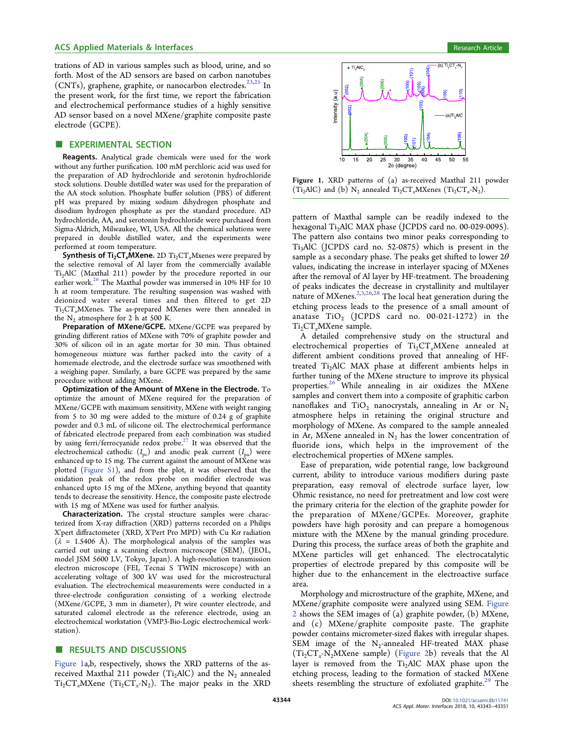trations of AD in various samples such as blood, urine, and so forth. Most of the AD sensors are based on carbon nanotubes  $(CNTs)$ , graphene, graphite, or nanocarbon electrodes.<sup>[23,25](#page-7-0)</sup> In the present work, for the first time, we report the fabrication and electrochemical performance studies of a highly sensitive AD sensor based on a novel MXene/graphite composite paste electrode (GCPE).

## **EXPERIMENTAL SECTION**

Reagents. Analytical grade chemicals were used for the work without any further purification. 100 mM perchloric acid was used for the preparation of AD hydrochloride and serotonin hydrochloride stock solutions. Double distilled water was used for the preparation of the AA stock solution. Phosphate buffer solution (PBS) of different pH was prepared by mixing sodium dihydrogen phosphate and disodium hydrogen phosphate as per the standard procedure. AD hydrochloride, AA, and serotonin hydrochloride were purchased from Sigma-Aldrich, Milwaukee, WI, USA. All the chemical solutions were prepared in double distilled water, and the experiments were performed at room temperature.

**Synthesis of Ti<sub>2</sub>CT<sub>x</sub>MXene.** 2D  $Ti_2CT_xM$ xenes were prepared by the selective removal of Al layer from the commercially available Ti2AlC (Maxthal 211) powder by the procedure reported in our earlier work.<sup>26</sup> The Maxthal powder was immersed in 10% HF for 10 h at room temperature. The resulting suspension was washed with deionized water several times and then filtered to get 2D  $Ti<sub>2</sub>CT<sub>x</sub>$ MXenes. The as-prepared MXenes were then annealed in the  $N_2$  atmosphere for 2 h at 500 K.

Preparation of MXene/GCPE. MXene/GCPE was prepared by grinding different ratios of MXene with 70% of graphite powder and 30% of silicon oil in an agate mortar for 30 min. Thus obtained homogeneous mixture was further packed into the cavity of a homemade electrode, and the electrode surface was smoothened with a weighing paper. Similarly, a bare GCPE was prepared by the same procedure without adding MXene.

Optimization of the Amount of MXene in the Electrode. To optimize the amount of MXene required for the preparation of MXene/GCPE with maximum sensitivity, MXene with weight ranging from 5 to 30 mg were added to the mixture of 0.24 g of graphite powder and 0.3 mL of silicone oil. The electrochemical performance of fabricated electrode prepared from each combination was studied by using ferri/ferrocyanide redox probe.<sup>[27](#page-7-0)</sup> It was observed that the electrochemical cathodic  $(I_{pc})$  and anodic peak current  $(I_{pa})$  were enhanced up to 15 mg. The current against the amount of MXene was plotted ([Figure S1\)](http://pubs.acs.org/doi/suppl/10.1021/acsami.8b11741/suppl_file/am8b11741_si_001.pdf), and from the plot, it was observed that the oxidation peak of the redox probe on modifier electrode was enhanced upto 15 mg of the MXene, anything beyond that quantity tends to decrease the sensitivity. Hence, the composite paste electrode with 15 mg of MXene was used for further analysis.

Characterization. The crystal structure samples were characterized from X-ray diffraction (XRD) patterns recorded on a Philips X'pert diffractometer (XRD, X'Pert Pro MPD) with Cu K $\alpha$  radiation  $(\lambda = 1.5406 \text{ Å})$ . The morphological analysis of the samples was carried out using a scanning electron microscope (SEM), (JEOL, model JSM 5600 LV, Tokyo, Japan). A high-resolution transmission electron microscope (FEI, Tecnai S TWIN microscope) with an accelerating voltage of 300 kV was used for the microstructural evaluation. The electrochemical measurements were conducted in a three-electrode configuration consisting of a working electrode (MXene/GCPE, 3 mm in diameter), Pt wire counter electrode, and saturated calomel electrode as the reference electrode, using an electrochemical workstation (VMP3-Bio-Logic electrochemical workstation).

## ■ RESULTS AND DISCUSSIONS

Figure 1a,b, respectively, shows the XRD patterns of the asreceived Maxthal 211 powder (Ti<sub>2</sub>AlC) and the N<sub>2</sub> annealed  $Ti_2CT_xMX$ ene  $(Ti_2CT_x-N_2)$ . The major peaks in the XRD



Figure 1. XRD patterns of (a) as-received Maxthal 211 powder  $(T_i, \text{AIC})$  and  $(b)$  N<sub>2</sub> annealed T<sub>i2</sub>CT<sub>x</sub>-MXenes  $(T_i, CT_i, -N_2)$ .

pattern of Maxthal sample can be readily indexed to the hexagonal Ti<sub>2</sub>AlC MAX phase (JCPDS card no. 00-029-0095). The pattern also contains two minor peaks corresponding to Ti3AlC (JCPDS card no. 52-0875) which is present in the sample as a secondary phase. The peaks get shifted to lower  $2\theta$ values, indicating the increase in interlayer spacing of MXenes after the removal of Al layer by HF-treatment. The broadening of peaks indicates the decrease in crystallinity and multilayer nature of MXenes.<sup>2,3,[26,28](#page-7-0)</sup> The local heat generation during the etching process leads to the presence of a small amount of anatase  $TiO<sub>2</sub>$  (JCPDS card no. 00-021-1272) in the Ti<sub>2</sub>CT<sub>x</sub>MXene sample.

A detailed comprehensive study on the structural and electrochemical properties of  $Ti<sub>2</sub>CT<sub>x</sub>MX$ ene annealed at different ambient conditions proved that annealing of HFtreated Ti<sub>2</sub>AlC MAX phase at different ambients helps in further tuning of the MXene structure to improve its physical properties.[26](#page-7-0) While annealing in air oxidizes the MXene samples and convert them into a composite of graphitic carbon nanoflakes and TiO<sub>2</sub> nanocrystals, annealing in Ar or  $N_2$ atmosphere helps in retaining the original structure and morphology of MXene. As compared to the sample annealed in Ar, MXene annealed in  $N_2$  has the lower concentration of fluoride ions, which helps in the improvement of the electrochemical properties of MXene samples.

Ease of preparation, wide potential range, low background current, ability to introduce various modifiers during paste preparation, easy removal of electrode surface layer, low Ohmic resistance, no need for pretreatment and low cost were the primary criteria for the election of the graphite powder for the preparation of MXene/GCPEs. Moreover, graphite powders have high porosity and can prepare a homogenous mixture with the MXene by the manual grinding procedure. During this process, the surface areas of both the graphite and MXene particles will get enhanced. The electrocatalytic properties of electrode prepared by this composite will be higher due to the enhancement in the electroactive surface area.

Morphology and microstructure of the graphite, MXene, and MXene/graphite composite were analyzed using SEM. [Figure](#page-2-0) [2](#page-2-0) shows the SEM images of (a) graphite powder, (b) MXene, and (c) MXene/graphite composite paste. The graphite powder contains micrometer-sized flakes with irregular shapes. SEM image of the  $N_2$ -annealed HF-treated MAX phase  $(Ti<sub>2</sub>CT<sub>x</sub>-N<sub>2</sub>MXene sample)$  [\(Figure 2b](#page-2-0)) reveals that the Al layer is removed from the Ti<sub>2</sub>AlC MAX phase upon the etching process, leading to the formation of stacked MXene sheets resembling the structure of exfoliated graphite.<sup>[29](#page-7-0)</sup> The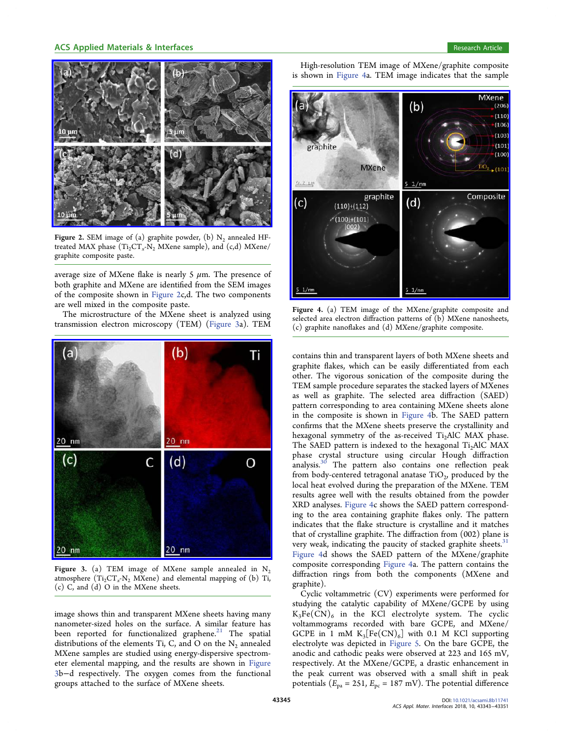<span id="page-2-0"></span>

Figure 2. SEM image of (a) graphite powder, (b)  $N_2$  annealed HFtreated MAX phase  $(Ti<sub>2</sub>CT<sub>x</sub>-N<sub>2</sub> MXene sample)$ , and  $(c,d) MXene/$ graphite composite paste.

average size of MXene flake is nearly 5  $\mu$ m. The presence of both graphite and MXene are identified from the SEM images of the composite shown in Figure 2c,d. The two components are well mixed in the composite paste.

The microstructure of the MXene sheet is analyzed using transmission electron microscopy (TEM) (Figure 3a). TEM



Figure 3. (a) TEM image of MXene sample annealed in  $N_2$ atmosphere  $(Ti_2CT_rN_2 MXene)$  and elemental mapping of (b) Ti, (c) C, and (d) O in the MXene sheets.

image shows thin and transparent MXene sheets having many nanometer-sized holes on the surface. A similar feature has been reported for functionalized graphene. $21$  The spatial distributions of the elements Ti, C, and O on the  $N_2$  annealed MXene samples are studied using energy-dispersive spectrometer elemental mapping, and the results are shown in Figure 3b−d respectively. The oxygen comes from the functional groups attached to the surface of MXene sheets.

High-resolution TEM image of MXene/graphite composite is shown in Figure 4a. TEM image indicates that the sample



Figure 4. (a) TEM image of the MXene/graphite composite and selected area electron diffraction patterns of (b) MXene nanosheets, (c) graphite nanoflakes and (d) MXene/graphite composite.

contains thin and transparent layers of both MXene sheets and graphite flakes, which can be easily differentiated from each other. The vigorous sonication of the composite during the TEM sample procedure separates the stacked layers of MXenes as well as graphite. The selected area diffraction (SAED) pattern corresponding to area containing MXene sheets alone in the composite is shown in Figure 4b. The SAED pattern confirms that the MXene sheets preserve the crystallinity and hexagonal symmetry of the as-received Ti<sub>2</sub>AlC MAX phase. The SAED pattern is indexed to the hexagonal  $Ti<sub>2</sub>AIC MAX$ phase crystal structure using circular Hough diffraction analysis.[30](#page-7-0) The pattern also contains one reflection peak from body-centered tetragonal anatase  $TiO<sub>2</sub>$ , produced by the local heat evolved during the preparation of the MXene. TEM results agree well with the results obtained from the powder XRD analyses. Figure 4c shows the SAED pattern corresponding to the area containing graphite flakes only. The pattern indicates that the flake structure is crystalline and it matches that of crystalline graphite. The diffraction from (002) plane is very weak, indicating the paucity of stacked graphite sheets.<sup>31</sup> Figure 4d shows the SAED pattern of the MXene/graphite composite corresponding Figure 4a. The pattern contains the diffraction rings from both the components (MXene and graphite).

Cyclic voltammetric (CV) experiments were performed for studying the catalytic capability of MXene/GCPE by using  $K_3Fe(CN)_6$  in the KCl electrolyte system. The cyclic voltammograms recorded with bare GCPE, and MXene/ GCPE in 1 mM  $K_3[Fe(CN)_6]$  with 0.1 M KCl supporting electrolyte was depicted in [Figure 5.](#page-3-0) On the bare GCPE, the anodic and cathodic peaks were observed at 223 and 165 mV, respectively. At the MXene/GCPE, a drastic enhancement in the peak current was observed with a small shift in peak potentials ( $E_{pa} = 251$ ,  $E_{pc} = 187$  mV). The potential difference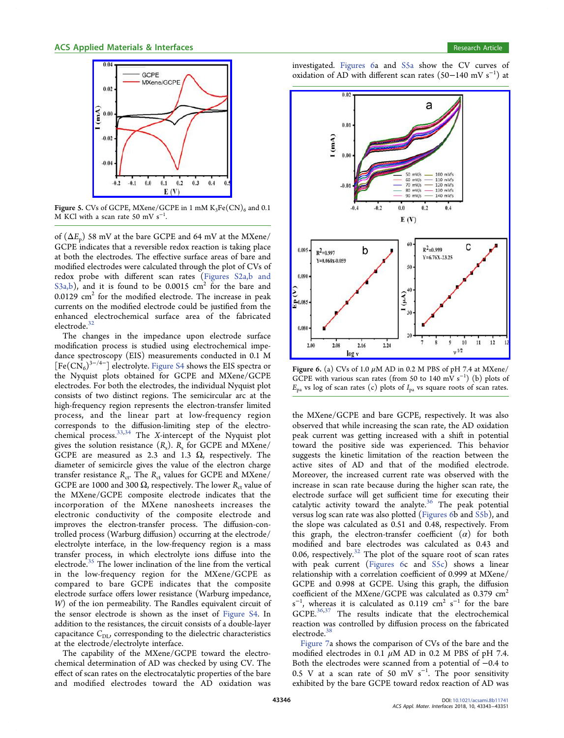<span id="page-3-0"></span>

Figure 5. CVs of GCPE, MXene/GCPE in 1 mM  $K_3Fe(CN)_6$  and 0.1 M KCl with a scan rate 50 mV  $s^{-1}$ .

of  $(\Delta E_n)$  58 mV at the bare GCPE and 64 mV at the MXene/ GCPE indicates that a reversible redox reaction is taking place at both the electrodes. The effective surface areas of bare and modified electrodes were calculated through the plot of CVs of redox probe with different scan rates [\(Figures S2a,b and](http://pubs.acs.org/doi/suppl/10.1021/acsami.8b11741/suppl_file/am8b11741_si_001.pdf) [S3a,b](http://pubs.acs.org/doi/suppl/10.1021/acsami.8b11741/suppl_file/am8b11741_si_001.pdf)), and it is found to be  $0.0015$  cm<sup>2</sup> for the bare and  $0.0129$  cm<sup>2</sup> for the modified electrode. The increase in peak currents on the modified electrode could be justified from the enhanced electrochemical surface area of the fabricated electrode.<sup>[32](#page-7-0)</sup>

The changes in the impedance upon electrode surface modification process is studied using electrochemical impedance spectroscopy (EIS) measurements conducted in 0.1 M  $[Fe(CN_6)^{3-4-}]$  electrolyte. [Figure S4](http://pubs.acs.org/doi/suppl/10.1021/acsami.8b11741/suppl_file/am8b11741_si_001.pdf) shows the EIS spectra or the Nyquist plots obtained for GCPE and MXene/GCPE electrodes. For both the electrodes, the individual Nyquist plot consists of two distinct regions. The semicircular arc at the high-frequency region represents the electron-transfer limited process, and the linear part at low-frequency region corresponds to the diffusion-limiting step of the electro-chemical process.<sup>[33,34](#page-7-0)</sup> The X-intercept of the Nyquist plot gives the solution resistance  $(R_s)$ .  $R_s$  for GCPE and MXene/ GCPE are measured as 2.3 and 1.3  $\Omega$ , respectively. The diameter of semicircle gives the value of the electron charge transfer resistance  $R_{\text{ct}}$ . The  $R_{\text{ct}}$  values for GCPE and MXene/ GCPE are 1000 and 300  $\Omega$ , respectively. The lower R<sub>ct</sub> value of the MXene/GCPE composite electrode indicates that the incorporation of the MXene nanosheets increases the electronic conductivity of the composite electrode and improves the electron-transfer process. The diffusion-controlled process (Warburg diffusion) occurring at the electrode/ electrolyte interface, in the low-frequency region is a mass transfer process, in which electrolyte ions diffuse into the electrode.<sup>[35](#page-7-0)</sup> The lower inclination of the line from the vertical in the low-frequency region for the MXene/GCPE as compared to bare GCPE indicates that the composite electrode surface offers lower resistance (Warburg impedance, W) of the ion permeability. The Randles equivalent circuit of the sensor electrode is shown as the inset of [Figure S4.](http://pubs.acs.org/doi/suppl/10.1021/acsami.8b11741/suppl_file/am8b11741_si_001.pdf) In addition to the resistances, the circuit consists of a double-layer capacitance  $C_{\text{DL}}$ , corresponding to the dielectric characteristics at the electrode/electrolyte interface.

The capability of the MXene/GCPE toward the electrochemical determination of AD was checked by using CV. The effect of scan rates on the electrocatalytic properties of the bare and modified electrodes toward the AD oxidation was investigated. Figures 6a and [S5a](http://pubs.acs.org/doi/suppl/10.1021/acsami.8b11741/suppl_file/am8b11741_si_001.pdf) show the CV curves of oxidation of AD with different scan rates  $(50-140 \text{ mV s}^{-1})$  at



Figure 6. (a) CVs of 1.0  $\mu$ M AD in 0.2 M PBS of pH 7.4 at MXene/ GCPE with various scan rates (from 50 to 140 mV s<sup>-1</sup>) (b) plots of  $E_{pa}$  vs log of scan rates (c) plots of  $I_{pa}$  vs square roots of scan rates.

the MXene/GCPE and bare GCPE, respectively. It was also observed that while increasing the scan rate, the AD oxidation peak current was getting increased with a shift in potential toward the positive side was experienced. This behavior suggests the kinetic limitation of the reaction between the active sites of AD and that of the modified electrode. Moreover, the increased current rate was observed with the increase in scan rate because during the higher scan rate, the electrode surface will get sufficient time for executing their catalytic activity toward the analyte. $36$  The peak potential versus log scan rate was also plotted (Figures 6b and [S5b\)](http://pubs.acs.org/doi/suppl/10.1021/acsami.8b11741/suppl_file/am8b11741_si_001.pdf), and the slope was calculated as 0.51 and 0.48, respectively. From this graph, the electron-transfer coefficient  $(\alpha)$  for both modified and bare electrodes was calculated as 0.43 and 0.06, respectively.<sup>[32](#page-7-0)</sup> The plot of the square root of scan rates with peak current (Figures 6c and [S5c\)](http://pubs.acs.org/doi/suppl/10.1021/acsami.8b11741/suppl_file/am8b11741_si_001.pdf) shows a linear relationship with a correlation coefficient of 0.999 at MXene/ GCPE and 0.998 at GCPE. Using this graph, the diffusion coefficient of the MXene/GCPE was calculated as 0.379 cm2  $s^{-1}$ , whereas it is calculated as 0.119 cm<sup>2</sup> s<sup>-1</sup> for the bare GCPE.[36,37](#page-7-0) The results indicate that the electrochemical reaction was controlled by diffusion process on the fabricated electrode. $38$ 

[Figure 7a](#page-4-0) shows the comparison of CVs of the bare and the modified electrodes in 0.1  $\mu$ M AD in 0.2 M PBS of pH 7.4. Both the electrodes were scanned from a potential of −0.4 to 0.5 V at a scan rate of 50 mV  $s^{-1}$ . The poor sensitivity exhibited by the bare GCPE toward redox reaction of AD was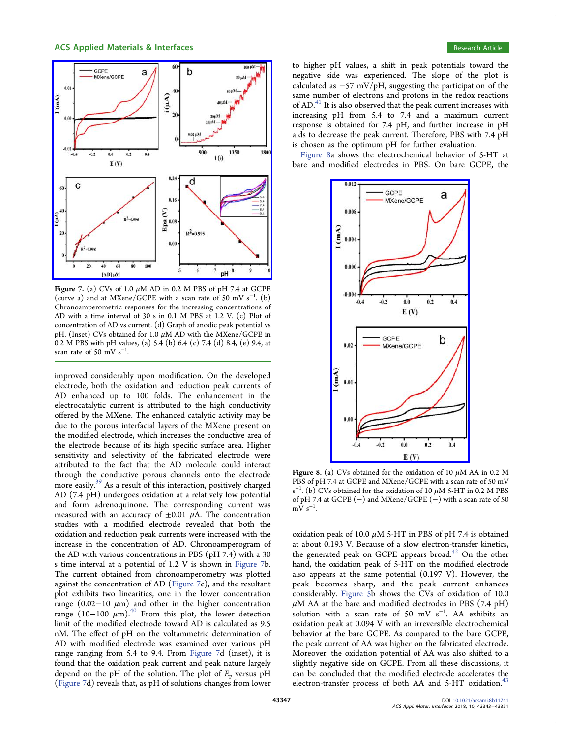<span id="page-4-0"></span>

Figure 7. (a) CVs of 1.0  $\mu$ M AD in 0.2 M PBS of pH 7.4 at GCPE (curve a) and at MXene/GCPE with a scan rate of 50 mV s<sup>-1</sup>. (b) Chronoamperometric responses for the increasing concentrations of AD with a time interval of 30 s in 0.1 M PBS at 1.2 V. (c) Plot of concentration of AD vs current. (d) Graph of anodic peak potential vs pH. (Inset) CVs obtained for 1.0  $\mu$ M AD with the MXene/GCPE in 0.2 M PBS with pH values, (a) 5.4 (b) 6.4 (c) 7.4 (d) 8.4, (e) 9.4, at scan rate of 50 mV  $s^{-1}$ .

improved considerably upon modification. On the developed electrode, both the oxidation and reduction peak currents of AD enhanced up to 100 folds. The enhancement in the electrocatalytic current is attributed to the high conductivity offered by the MXene. The enhanced catalytic activity may be due to the porous interfacial layers of the MXene present on the modified electrode, which increases the conductive area of the electrode because of its high specific surface area. Higher sensitivity and selectivity of the fabricated electrode were attributed to the fact that the AD molecule could interact through the conductive porous channels onto the electrode more easily.[39](#page-7-0) As a result of this interaction, positively charged AD (7.4 pH) undergoes oxidation at a relatively low potential and form adrenoquinone. The corresponding current was measured with an accuracy of  $\pm 0.01$   $\mu$ A. The concentration studies with a modified electrode revealed that both the oxidation and reduction peak currents were increased with the increase in the concentration of AD. Chronoamperogram of the AD with various concentrations in PBS (pH 7.4) with a 30 s time interval at a potential of 1.2 V is shown in Figure 7b. The current obtained from chronoamperometry was plotted against the concentration of AD (Figure 7c), and the resultant plot exhibits two linearities, one in the lower concentration range (0.02−10  $\mu$ m) and other in the higher concentration range (10−100  $\mu$ m).<sup>40</sup> From this plot, the lower detection limit of the modified electrode toward AD is calculated as 9.5 nM. The effect of pH on the voltammetric determination of AD with modified electrode was examined over various pH range ranging from 5.4 to 9.4. From Figure 7d (inset), it is found that the oxidation peak current and peak nature largely depend on the pH of the solution. The plot of  $E_p$  versus pH (Figure 7d) reveals that, as pH of solutions changes from lower

to higher pH values, a shift in peak potentials toward the negative side was experienced. The slope of the plot is calculated as  $-57$  mV/pH, suggesting the participation of the same number of electrons and protons in the redox reactions of  $AD<sup>41</sup>$  $AD<sup>41</sup>$  $AD<sup>41</sup>$  It is also observed that the peak current increases with increasing pH from 5.4 to 7.4 and a maximum current response is obtained for 7.4 pH, and further increase in pH aids to decrease the peak current. Therefore, PBS with 7.4 pH is chosen as the optimum pH for further evaluation.

Figure 8a shows the electrochemical behavior of 5-HT at bare and modified electrodes in PBS. On bare GCPE, the



Figure 8. (a) CVs obtained for the oxidation of 10  $\mu$ M AA in 0.2 M PBS of pH 7.4 at GCPE and MXene/GCPE with a scan rate of 50 mV  $s^{-1}$ . (b) CVs obtained for the oxidation of 10  $\mu$ M 5-HT in 0.2 M PBS of pH 7.4 at GCPE (−) and MXene/GCPE (−) with a scan rate of 50  $mV s^{-1}$ .

oxidation peak of 10.0  $\mu$ M 5-HT in PBS of pH 7.4 is obtained at about 0.193 V. Because of a slow electron-transfer kinetics, the generated peak on GCPE appears broad. $42$  On the other hand, the oxidation peak of 5-HT on the modified electrode also appears at the same potential (0.197 V). However, the peak becomes sharp, and the peak current enhances considerably. [Figure 5b](#page-3-0) shows the CVs of oxidation of 10.0  $\mu$ M AA at the bare and modified electrodes in PBS (7.4 pH) solution with a scan rate of 50 mV s<sup>-1</sup>. AA exhibits an oxidation peak at 0.094 V with an irreversible electrochemical behavior at the bare GCPE. As compared to the bare GCPE, the peak current of AA was higher on the fabricated electrode. Moreover, the oxidation potential of AA was also shifted to a slightly negative side on GCPE. From all these discussions, it can be concluded that the modified electrode accelerates the electron-transfer process of both AA and 5-HT oxidation.<sup>43</sup>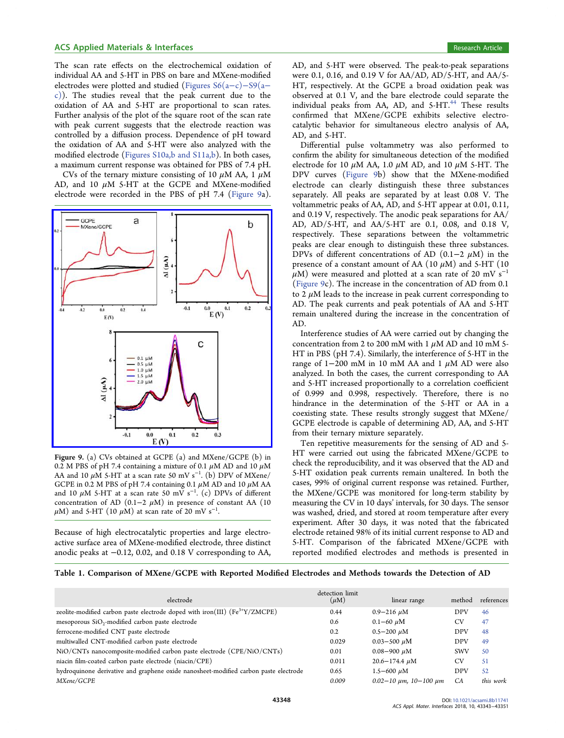<span id="page-5-0"></span>The scan rate effects on the electrochemical oxidation of individual AA and 5-HT in PBS on bare and MXene-modified electrodes were plotted and studied ([Figures S6\(a](http://pubs.acs.org/doi/suppl/10.1021/acsami.8b11741/suppl_file/am8b11741_si_001.pdf)−c)−S9(a− [c\)\)](http://pubs.acs.org/doi/suppl/10.1021/acsami.8b11741/suppl_file/am8b11741_si_001.pdf). The studies reveal that the peak current due to the oxidation of AA and 5-HT are proportional to scan rates. Further analysis of the plot of the square root of the scan rate with peak current suggests that the electrode reaction was controlled by a diffusion process. Dependence of pH toward the oxidation of AA and 5-HT were also analyzed with the modified electrode ([Figures S10a,b and S11a,b](http://pubs.acs.org/doi/suppl/10.1021/acsami.8b11741/suppl_file/am8b11741_si_001.pdf)). In both cases, a maximum current response was obtained for PBS of 7.4 pH.

CVs of the ternary mixture consisting of 10  $\mu$ M AA, 1  $\mu$ M AD, and 10 μM 5-HT at the GCPE and MXene-modified electrode were recorded in the PBS of pH 7.4 (Figure 9a).



Figure 9. (a) CVs obtained at GCPE (a) and MXene/GCPE (b) in 0.2 M PBS of pH 7.4 containing a mixture of 0.1  $\mu$ M AD and 10  $\mu$ M AA and 10  $\mu$ M 5-HT at a scan rate 50 mV s<sup>-1</sup>. (b) DPV of MXene/ GCPE in 0.2 M PBS of pH 7.4 containing 0.1  $\mu$ M AD and 10  $\mu$ M AA and 10  $\mu$ M 5-HT at a scan rate 50 mV s<sup>-1</sup>. (c) DPVs of different concentration of AD (0.1–2  $\mu$ M) in presence of constant AA (10  $\mu$ M) and 5-HT (10  $\mu$ M) at scan rate of 20 mV s<sup>-1</sup>.

Because of high electrocatalytic properties and large electroactive surface area of MXene-modified electrode, three distinct anodic peaks at −0.12, 0.02, and 0.18 V corresponding to AA,

AD, and 5-HT were observed. The peak-to-peak separations were 0.1, 0.16, and 0.19 V for AA/AD, AD/5-HT, and AA/5- HT, respectively. At the GCPE a broad oxidation peak was observed at 0.1 V, and the bare electrode could separate the individual peaks from AA, AD, and 5-HT.<sup>44</sup> These results confirmed that MXene/GCPE exhibits selective electrocatalytic behavior for simultaneous electro analysis of AA, AD, and 5-HT.

Differential pulse voltammetry was also performed to confirm the ability for simultaneous detection of the modified electrode for 10  $\mu$ M AA, 1.0  $\mu$ M AD, and 10  $\mu$ M 5-HT. The DPV curves (Figure 9b) show that the MXene-modified electrode can clearly distinguish these three substances separately. All peaks are separated by at least 0.08 V. The voltammetric peaks of AA, AD, and 5-HT appear at 0.01, 0.11, and 0.19 V, respectively. The anodic peak separations for AA/ AD, AD/5-HT, and AA/5-HT are 0.1, 0.08, and 0.18 V, respectively. These separations between the voltammetric peaks are clear enough to distinguish these three substances. DPVs of different concentrations of AD (0.1–2  $\mu$ M) in the presence of a constant amount of AA  $(10 \mu M)$  and 5-HT  $(10 \mu M)$  $\mu$ M) were measured and plotted at a scan rate of 20 mV s<sup>-1</sup> (Figure 9c). The increase in the concentration of AD from 0.1 to 2  $\mu$ M leads to the increase in peak current corresponding to AD. The peak currents and peak potentials of AA and 5-HT remain unaltered during the increase in the concentration of AD.

Interference studies of AA were carried out by changing the concentration from 2 to 200 mM with 1  $\mu$ M AD and 10 mM 5-HT in PBS (pH 7.4). Similarly, the interference of 5-HT in the range of 1−200 mM in 10 mM AA and 1 μM AD were also analyzed. In both the cases, the current corresponding to AA and 5-HT increased proportionally to a correlation coefficient of 0.999 and 0.998, respectively. Therefore, there is no hindrance in the determination of the 5-HT or AA in a coexisting state. These results strongly suggest that MXene/ GCPE electrode is capable of determining AD, AA, and 5-HT from their ternary mixture separately.

Ten repetitive measurements for the sensing of AD and 5- HT were carried out using the fabricated MXene/GCPE to check the reproducibility, and it was observed that the AD and 5-HT oxidation peak currents remain unaltered. In both the cases, 99% of original current response was retained. Further, the MXene/GCPE was monitored for long-term stability by measuring the CV in 10 days' intervals, for 30 days. The sensor was washed, dried, and stored at room temperature after every experiment. After 30 days, it was noted that the fabricated electrode retained 98% of its initial current response to AD and 5-HT. Comparison of the fabricated MXene/GCPE with reported modified electrodes and methods is presented in

Table 1. Comparison of MXene/GCPE with Reported Modified Electrodes and Methods towards the Detection of AD

|                                                                                      | detection limit |                                      |            |            |
|--------------------------------------------------------------------------------------|-----------------|--------------------------------------|------------|------------|
| electrode                                                                            | $(\mu M)$       | linear range                         | method     | references |
| zeolite-modified carbon paste electrode doped with iron(III) $(Fe^{3+Y}/ZMCPE)$      | 0.44            | $0.9 - 216 \mu M$                    | <b>DPV</b> | 46         |
| mesoporous SiO <sub>2</sub> -modified carbon paste electrode                         | 0.6             | $0.1 - 60 \mu M$                     | <b>CV</b>  | 47         |
| ferrocene-modified CNT paste electrode                                               | 0.2             | $0.5 - 200 \mu M$                    | <b>DPV</b> | 48         |
| multiwalled CNT-modified carbon paste electrode                                      | 0.029           | $0.03 - 500 \mu M$                   | <b>DPV</b> | 49         |
| NiO/CNTs nanocomposite-modified carbon paste electrode (CPE/NiO/CNTs)                | 0.01            | $0.08 - 900 \mu M$                   | <b>SWV</b> | 50         |
| niacin film-coated carbon paste electrode (niacin/CPE)                               | 0.011           | $20.6 - 174.4$ $\mu$ M               | <b>CV</b>  | 51         |
| hydroquinone derivative and graphene oxide nanosheet-modified carbon paste electrode | 0.65            | $1.5 - 600 \mu M$                    | <b>DPV</b> | 52         |
| MXene/GCPE                                                                           | 0.009           | $0.02 - 10 \mu m$ , $10 - 100 \mu m$ | CA         | this work  |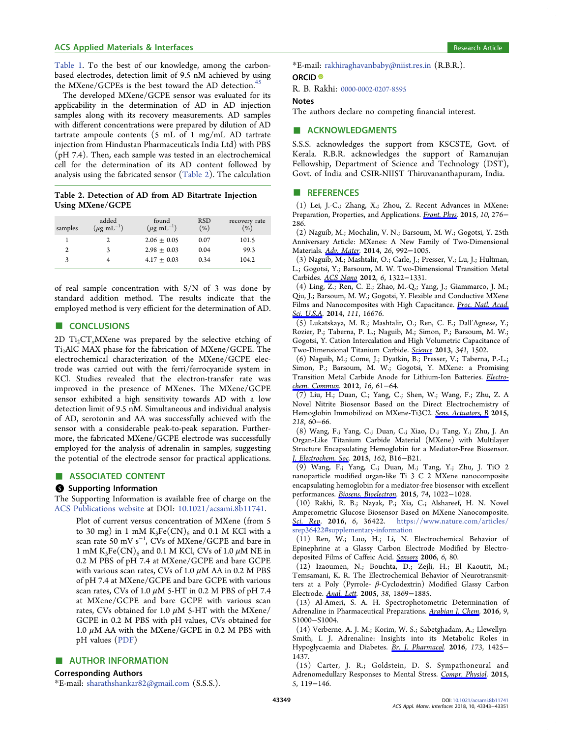<span id="page-6-0"></span>[Table 1](#page-5-0). To the best of our knowledge, among the carbonbased electrodes, detection limit of 9.5 nM achieved by using the MXene/GCPEs is the best toward the AD detection.<sup>45</sup>

The developed MXene/GCPE sensor was evaluated for its applicability in the determination of AD in AD injection samples along with its recovery measurements. AD samples with different concentrations were prepared by dilution of AD tartrate ampoule contents (5 mL of 1 mg/mL AD tartrate injection from Hindustan Pharmaceuticals India Ltd) with PBS (pH 7.4). Then, each sample was tested in an electrochemical cell for the determination of its AD content followed by analysis using the fabricated sensor (Table 2). The calculation

## Table 2. Detection of AD from AD Bitartrate Injection Using MXene/GCPE

| samples      | added<br>$(\mu \text{g} \text{ mL}^{-1})$ | found<br>$(\mu$ g mL <sup>-1</sup> ) | <b>RSD</b><br>$(\% )$ | recovery rate<br>(% ) |
|--------------|-------------------------------------------|--------------------------------------|-----------------------|-----------------------|
|              |                                           | $2.06 \pm 0.05$                      | 0.07                  | 101.5                 |
| $\mathbf{2}$ | 3                                         | $2.98 \pm 0.03$                      | 0.04                  | 99.3                  |
| 3            |                                           | $4.17 \pm 0.03$                      | 0.34                  | 104.2                 |
|              |                                           |                                      |                       |                       |

of real sample concentration with S/N of 3 was done by standard addition method. The results indicate that the employed method is very efficient for the determination of AD.

# ■ CONCLUSIONS

2D  $Ti_2CT_xMX$ ene was prepared by the selective etching of Ti2AlC MAX phase for the fabrication of MXene/GCPE. The electrochemical characterization of the MXene/GCPE electrode was carried out with the ferri/ferrocyanide system in KCl. Studies revealed that the electron-transfer rate was improved in the presence of MXenes. The MXene/GCPE sensor exhibited a high sensitivity towards AD with a low detection limit of 9.5 nM. Simultaneous and individual analysis of AD, serotonin and AA was successfully achieved with the sensor with a considerable peak-to-peak separation. Furthermore, the fabricated MXene/GCPE electrode was successfully employed for the analysis of adrenalin in samples, suggesting the potential of the electrode sensor for practical applications.

# ■ ASSOCIATED CONTENT

## **6** Supporting Information

The Supporting Information is available free of charge on the [ACS Publications website](http://pubs.acs.org) at DOI: [10.1021/acsami.8b11741.](http://pubs.acs.org/doi/abs/10.1021/acsami.8b11741)

Plot of current versus concentration of MXene (from 5 to 30 mg) in 1 mM  $K_3Fe(CN)_6$  and 0.1 M KCl with a scan rate 50 mV s<sup>−</sup><sup>1</sup> , CVs of MXene/GCPE and bare in 1 mM K<sub>3</sub>Fe(CN)<sub>6</sub> and 0.1 M KCl, CVs of 1.0  $\mu$ M NE in 0.2 M PBS of pH 7.4 at MXene/GCPE and bare GCPE with various scan rates, CVs of 1.0  $\mu$ M AA in 0.2 M PBS of pH 7.4 at MXene/GCPE and bare GCPE with various scan rates, CVs of 1.0  $\mu$ M 5-HT in 0.2 M PBS of pH 7.4 at MXene/GCPE and bare GCPE with various scan rates, CVs obtained for 1.0  $\mu$ M 5-HT with the MXene/ GCPE in 0.2 M PBS with pH values, CVs obtained for 1.0  $\mu$ M AA with the MXene/GCPE in 0.2 M PBS with pH values ([PDF\)](http://pubs.acs.org/doi/suppl/10.1021/acsami.8b11741/suppl_file/am8b11741_si_001.pdf)

# ■ AUTHOR INFORMATION

Corresponding Authors

\*E-mail: [sharathshankar82@gmail.com](mailto:sharathshankar82@gmail.com) (S.S.S.).

\*E-mail: [rakhiraghavanbaby@niist.res.in](mailto:rakhiraghavanbaby@niist.res.in) (R.B.R.). ORCID<sup>®</sup>

# R. B. Rakhi: [0000-0002-0207-8595](http://orcid.org/0000-0002-0207-8595)

## Notes

The authors declare no competing financial interest.

## ■ ACKNOWLEDGMENTS

S.S.S. acknowledges the support from KSCSTE, Govt. of Kerala. R.B.R. acknowledges the support of Ramanujan Fellowship, Department of Science and Technology (DST), Govt. of India and CSIR-NIIST Thiruvananthapuram, India.

### ■ REFERENCES

(1) Lei, J.-C.; Zhang, X.; Zhou, Z. Recent Advances in MXene: Preparation, Properties, and Applications. [Front. Phys.](http://pubs.acs.org/action/showLinks?crossref=10.1007%2Fs11467-015-0493-x&citationId=p_n_2_1) 2015, 10, 276− 286.

(2) Naguib, M.; Mochalin, V. N.; Barsoum, M. W.; Gogotsi, Y. 25th Anniversary Article: MXenes: A New Family of Two-Dimensional Materials. [Adv. Mater.](http://pubs.acs.org/action/showLinks?pmid=24357390&crossref=10.1002%2Fadma.201304138&coi=1%3ACAS%3A528%3ADC%252BC3sXhvFOit7zM&citationId=p_n_3_1) 2014, 26, 992−1005.

(3) Naguib, M.; Mashtalir, O.; Carle, J.; Presser, V.; Lu, J.; Hultman, L.; Gogotsi, Y.; Barsoum, M. W. Two-Dimensional Transition Metal Carbides. [ACS Nano](http://pubs.acs.org/action/showLinks?system=10.1021%2Fnn204153h&coi=1%3ACAS%3A528%3ADC%252BC38Xht1OitbY%253D&citationId=p_n_6_1) 2012, 6, 1322−1331.

(4) Ling, Z.; Ren, C. E.; Zhao, M.-Q.; Yang, J.; Giammarco, J. M.; Qiu, J.; Barsoum, M. W.; Gogotsi, Y. Flexible and Conductive MXene Films and Nanocomposites with High Capacitance. [Proc. Natl. Acad.](http://pubs.acs.org/action/showLinks?pmid=25389310&crossref=10.1073%2Fpnas.1414215111&coi=1%3ACAS%3A528%3ADC%252BC2cXhvFShtb3K&citationId=p_n_9_1) [Sci. U.S.A.](http://pubs.acs.org/action/showLinks?pmid=25389310&crossref=10.1073%2Fpnas.1414215111&coi=1%3ACAS%3A528%3ADC%252BC2cXhvFShtb3K&citationId=p_n_9_1) 2014, 111, 16676.

(5) Lukatskaya, M. R.; Mashtalir, O.; Ren, C. E.; Dall'Agnese, Y.; Rozier, P.; Taberna, P. L.; Naguib, M.; Simon, P.; Barsoum, M. W.; Gogotsi, Y. Cation Intercalation and High Volumetric Capacitance of Two-Dimensional Titanium Carbide. [Science](http://pubs.acs.org/action/showLinks?pmid=24072919&crossref=10.1126%2Fscience.1241488&coi=1%3ACAS%3A528%3ADC%252BC3sXhsFSmsLjO&citationId=p_n_10_1) 2013, 341, 1502.

(6) Naguib, M.; Come, J.; Dyatkin, B.; Presser, V.; Taberna, P.-L.; Simon, P.; Barsoum, M. W.; Gogotsi, Y. MXene: a Promising Transition Metal Carbide Anode for Lithium-Ion Batteries. [Electro](http://pubs.acs.org/action/showLinks?crossref=10.1016%2Fj.elecom.2012.01.002&coi=1%3ACAS%3A528%3ADC%252BC38XitFOhuro%253D&citationId=p_n_11_1)[chem. Commun](http://pubs.acs.org/action/showLinks?crossref=10.1016%2Fj.elecom.2012.01.002&coi=1%3ACAS%3A528%3ADC%252BC38XitFOhuro%253D&citationId=p_n_11_1). 2012, 16, 61−64.

(7) Liu, H.; Duan, C.; Yang, C.; Shen, W.; Wang, F.; Zhu, Z. A Novel Nitrite Biosensor Based on the Direct Electrochemistry of Hemoglobin Immobilized on MXene-Ti3C2. [Sens. Actuators, B](http://pubs.acs.org/action/showLinks?crossref=10.1016%2Fj.snb.2015.04.090&coi=1%3ACAS%3A528%3ADC%252BC2MXotlWlsbs%253D&citationId=p_n_14_1) 2015, 218, 60−66.

(8) Wang, F.; Yang, C.; Duan, C.; Xiao, D.; Tang, Y.; Zhu, J. An Organ-Like Titanium Carbide Material (MXene) with Multilayer Structure Encapsulating Hemoglobin for a Mediator-Free Biosensor. [J. Electrochem. Soc.](http://pubs.acs.org/action/showLinks?crossref=10.1149%2F2.0371501jes&coi=1%3ACAS%3A528%3ADC%252BC2cXitVCrsrvM&citationId=p_n_17_1) 2015, 162, B16−B21.

(9) Wang, F.; Yang, C.; Duan, M.; Tang, Y.; Zhu, J. TiO 2 nanoparticle modified organ-like Ti 3 C 2 MXene nanocomposite encapsulating hemoglobin for a mediator-free biosensor with excellent performances. [Biosens. Bioelectron.](http://pubs.acs.org/action/showLinks?pmid=26264270&crossref=10.1016%2Fj.bios.2015.08.004&coi=1%3ACAS%3A528%3ADC%252BC2MXhtlajur7O&citationId=p_n_18_1) 2015, 74, 1022−1028.

(10) Rakhi, R. B.; Nayak, P.; Xia, C.; Alshareef, H. N. Novel Amperometric Glucose Biosensor Based on MXene Nanocomposite. [Sci. Rep](http://pubs.acs.org/action/showLinks?pmid=27830757&crossref=10.1038%2Fsrep36422&coi=1%3ACAS%3A528%3ADC%252BC28XhvVGjtLrJ&citationId=p_n_21_1). 2016, 6, 36422. [https://www.nature.com/articles/](https://www.nature.com/articles/srep36422#supplementary-information) srep36422#[supplementary-information](https://www.nature.com/articles/srep36422#supplementary-information)

(11) Ren, W.; Luo, H.; Li, N. Electrochemical Behavior of Epinephrine at a Glassy Carbon Electrode Modified by Electrodeposited Films of Caffeic Acid. [Sensors](http://pubs.acs.org/action/showLinks?crossref=10.3390%2Fs6020080&citationId=p_n_22_1) 2006, 6, 80.

(12) Izaoumen, N.; Bouchta, D.; Zejli, H.; El Kaoutit, M.; Temsamani, K. R. The Electrochemical Behavior of Neurotransmitters at a Poly (Pyrrole- β-Cyclodextrin) Modified Glassy Carbon Electrode. [Anal. Lett](http://pubs.acs.org/action/showLinks?crossref=10.1080%2F00032710500230855&coi=1%3ACAS%3A528%3ADC%252BD2MXhtFChs7rP&citationId=p_n_23_1). 2005, 38, 1869−1885.

(13) Al-Ameri, S. A. H. Spectrophotometric Determination of Adrenaline in Pharmaceutical Preparations. Arabian I. Chem. 2016, 9, S1000−S1004.

(14) Verberne, A. J. M.; Korim, W. S.; Sabetghadam, A.; Llewellyn-Smith, I. J. Adrenaline: Insights into its Metabolic Roles in Hypoglycaemia and Diabetes. [Br. J. Pharmacol](http://pubs.acs.org/action/showLinks?pmid=26896587&crossref=10.1111%2Fbph.13458&coi=1%3ACAS%3A528%3ADC%252BC28XjvVGktLw%253D&citationId=p_n_27_1). 2016, 173, 1425− 1437.

(15) Carter, J. R.; Goldstein, D. S. Sympathoneural and Adrenomedullary Responses to Mental Stress. [Compr. Physiol.](http://pubs.acs.org/action/showLinks?pmid=25589266&coi=1%3ACAS%3A280%3ADC%252BC2Mvms1SgtA%253D%253D&citationId=p_n_28_1) 2015, 5, 119−146.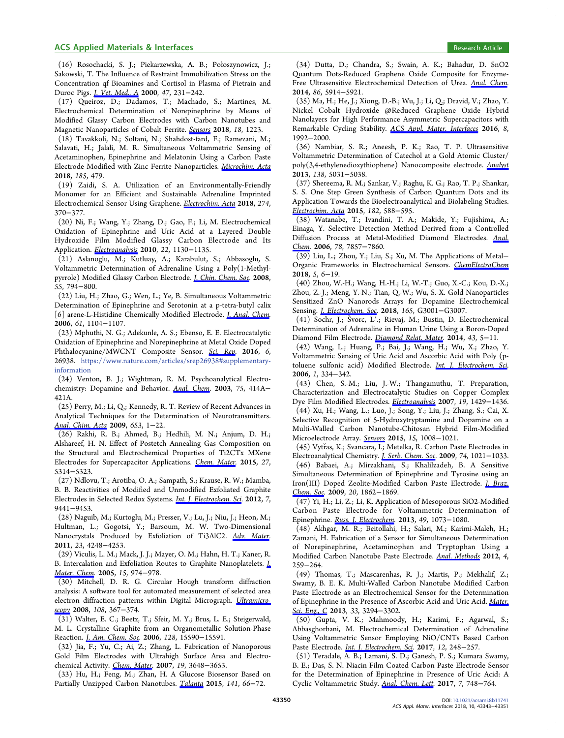## <span id="page-7-0"></span>ACS Applied Materials & Interfaces **Research Article** 8 and 2011 and 2012 and 2012 and 2013 and 2013 and 2013 and 2013

(16) Rosochacki, S. J.; Piekarzewska, A. B.; Połoszynowicz, J.; Sakowski, T. The Influence of Restraint Immobilization Stress on the Concentration qf Bioamines and Cortisol in Plasma of Pietrain and Duroc Pigs. [J. Vet. Med., A](http://pubs.acs.org/action/showLinks?pmid=10887754&crossref=10.1046%2Fj.1439-0442.2000.00284.x&coi=1%3ACAS%3A528%3ADC%252BD3cXktlWrs78%253D&citationId=p_n_31_1) 2000, 47, 231−242.

(17) Queiroz, D.; Dadamos, T.; Machado, S.; Martines, M. Electrochemical Determination of Norepinephrine by Means of Modified Glassy Carbon Electrodes with Carbon Nanotubes and Magnetic Nanoparticles of Cobalt Ferrite. [Sensors](http://pubs.acs.org/action/showLinks?crossref=10.3390%2Fs18041223&coi=1%3ACAS%3A528%3ADC%252BC1cXisVWnsrrJ&citationId=p_n_34_1) 2018, 18, 1223.

(18) Tavakkoli, N.; Soltani, N.; Shahdost-fard, F.; Ramezani, M.; Salavati, H.; Jalali, M. R. Simultaneous Voltammetric Sensing of Acetaminophen, Epinephrine and Melatonin Using a Carbon Paste Electrode Modified with Zinc Ferrite Nanoparticles. [Microchim. Acta](http://pubs.acs.org/action/showLinks?pmid=30259140&crossref=10.1007%2Fs00604-018-3009-x&citationId=p_n_35_1) 2018, 185, 479.

(19) Zaidi, S. A. Utilization of an Environmentally-Friendly Monomer for an Efficient and Sustainable Adrenaline Imprinted Electrochemical Sensor Using Graphene. [Electrochim. Acta](http://pubs.acs.org/action/showLinks?crossref=10.1016%2Fj.electacta.2018.04.119&coi=1%3ACAS%3A528%3ADC%252BC1cXotFWlt7c%253D&citationId=p_n_36_1) 2018, 274, 370−377.

(20) Ni, F.; Wang, Y.; Zhang, D.; Gao, F.; Li, M. Electrochemical Oxidation of Epinephrine and Uric Acid at a Layered Double Hydroxide Film Modified Glassy Carbon Electrode and Its Application. [Electroanalysis](http://pubs.acs.org/action/showLinks?crossref=10.1002%2Felan.200900530&coi=1%3ACAS%3A528%3ADC%252BC3cXlvFWntrw%253D&citationId=p_n_39_1) 2010, 22, 1130−1135.

(21) Aslanoglu, M.; Kutluay, A.; Karabulut, S.; Abbasoglu, S. Voltammetric Determination of Adrenaline Using a Poly(1-Methylpyrrole) Modified Glassy Carbon Electrode. *[J. Chin. Chem. Soc.](http://pubs.acs.org/action/showLinks?crossref=10.1002%2Fjccs.200800119&coi=1%3ACAS%3A528%3ADC%252BD1cXhtleiu7bF&citationId=p_n_42_1)* 2008, 55, 794−800.

(22) Liu, H.; Zhao, G.; Wen, L.; Ye, B. Simultaneous Voltammetric Determination of Epinephrine and Serotonin at a p-tetra-butyl calix [6] arene-L-Histidine Chemically Modified Electrode. *[J. Anal. Chem.](http://pubs.acs.org/action/showLinks?crossref=10.1134%2FS1061934806110116&coi=1%3ACAS%3A528%3ADC%252BD28XhtFaksb7K&citationId=p_n_45_1)* 2006, 61, 1104−1107.

(23) Mphuthi, N. G.; Adekunle, A. S.; Ebenso, E. E. Electrocatalytic Oxidation of Epinephrine and Norepinephrine at Metal Oxide Doped Phthalocyanine/MWCNT Composite Sensor. [Sci. Rep](http://pubs.acs.org/action/showLinks?pmid=27245690&crossref=10.1038%2Fsrep26938&coi=1%3ACAS%3A528%3ADC%252BC28XptVymt74%253D&citationId=p_n_48_1). 2016, 6, 26938. [https://www.nature.com/articles/srep26938](https://www.nature.com/articles/srep26938#supplementary-information)#supplementary[information](https://www.nature.com/articles/srep26938#supplementary-information)

(24) Venton, B. J.; Wightman, R. M. Psychoanalytical Electrochemistry: Dopamine and Behavior. [Anal. Chem.](http://pubs.acs.org/action/showLinks?system=10.1021%2Fac031421c&coi=1%3ACAS%3A528%3ADC%252BD3sXnvVSgtrw%253D&citationId=p_n_49_1) 2003, 75, 414A− 421A.

(25) Perry, M.; Li, Q.; Kennedy, R. T. Review of Recent Advances in Analytical Techniques for the Determination of Neurotransmitters. [Anal. Chim. Acta](http://pubs.acs.org/action/showLinks?pmid=19800472&crossref=10.1016%2Fj.aca.2009.08.038&coi=1%3ACAS%3A528%3ADC%252BD1MXht1amtLfL&citationId=p_n_50_1) 2009, 653, 1−22.

(26) Rakhi, R. B.; Ahmed, B.; Hedhili, M. N.; Anjum, D. H.; Alshareef, H. N. Effect of Postetch Annealing Gas Composition on the Structural and Electrochemical Properties of Ti2CTx MXene Electrodes for Supercapacitor Applications. [Chem. Mater](http://pubs.acs.org/action/showLinks?system=10.1021%2Facs.chemmater.5b01623&coi=1%3ACAS%3A528%3ADC%252BC2MXhtFequ73F&citationId=p_n_53_1). 2015, 27, 5314−5323.

(27) Ndlovu, T.; Arotiba, O. A.; Sampath, S.; Krause, R. W.; Mamba, B. B. Reactivities of Modified and Unmodified Exfoliated Graphite Electrodes in Selected Redox Systems. [Int. J. Electrochem. Sci](http://pubs.acs.org/action/showLinks?coi=1%3ACAS%3A528%3ADC%252BC38XhsFaksrjL&citationId=p_n_56_1). 2012, 7, 9441−9453.

(28) Naguib, M.; Kurtoglu, M.; Presser, V.; Lu, J.; Niu, J.; Heon, M.; Hultman, L.; Gogotsi, Y.; Barsoum, M. W. Two-Dimensional Nanocrystals Produced by Exfoliation of Ti3AlC2. [Adv. Mater.](http://pubs.acs.org/action/showLinks?pmid=21861270&crossref=10.1002%2Fadma.201102306&coi=1%3ACAS%3A528%3ADC%252BC3MXhtVGisLnL&citationId=p_n_59_1) 2011, 23, 4248−4253.

(29) Viculis, L. M.; Mack, J. J.; Mayer, O. M.; Hahn, H. T.; Kaner, R. B. Intercalation and Exfoliation Routes to Graphite Nanoplatelets. [J.](http://pubs.acs.org/action/showLinks?crossref=10.1039%2Fb413029d&coi=1%3ACAS%3A528%3ADC%252BD2MXhsVOmurs%253D&citationId=p_n_62_1) [Mater. Chem](http://pubs.acs.org/action/showLinks?crossref=10.1039%2Fb413029d&coi=1%3ACAS%3A528%3ADC%252BD2MXhsVOmurs%253D&citationId=p_n_62_1). 2005, 15, 974−978.

(30) Mitchell, D. R. G. Circular Hough transform diffraction analysis: A software tool for automated measurement of selected area electron diffraction patterns within Digital Micrograph. [Ultramicro](http://pubs.acs.org/action/showLinks?pmid=17643819&crossref=10.1016%2Fj.ultramic.2007.06.003&coi=1%3ACAS%3A528%3ADC%252BD1cXitVWktb4%253D&citationId=p_n_65_1)[scopy](http://pubs.acs.org/action/showLinks?pmid=17643819&crossref=10.1016%2Fj.ultramic.2007.06.003&coi=1%3ACAS%3A528%3ADC%252BD1cXitVWktb4%253D&citationId=p_n_65_1) 2008, 108, 367−374.

(31) Walter, E. C.; Beetz, T.; Sfeir, M. Y.; Brus, L. E.; Steigerwald, M. L. Crystalline Graphite from an Organometallic Solution-Phase Reaction. [J. Am. Chem. Soc](http://pubs.acs.org/action/showLinks?system=10.1021%2Fja0666203&coi=1%3ACAS%3A528%3ADC%252BD28Xht1Whsb3N&citationId=p_n_68_1). 2006, 128, 15590−15591.

(32) Jia, F.; Yu, C.; Ai, Z.; Zhang, L. Fabrication of Nanoporous Gold Film Electrodes with Ultrahigh Surface Area and Electrochemical Activity. [Chem. Mater.](http://pubs.acs.org/action/showLinks?system=10.1021%2Fcm070425l&coi=1%3ACAS%3A528%3ADC%252BD2sXntVyjs74%253D&citationId=p_n_71_1) 2007, 19, 3648−3653.

(33) Hu, H.; Feng, M.; Zhan, H. A Glucose Biosensor Based on Partially Unzipped Carbon Nanotubes. [Talanta](http://pubs.acs.org/action/showLinks?pmid=25966382&crossref=10.1016%2Fj.talanta.2015.03.057&coi=1%3ACAS%3A528%3ADC%252BC2MXmtF2kur4%253D&citationId=p_n_74_1) 2015, 141, 66−72.

(34) Dutta, D.; Chandra, S.; Swain, A. K.; Bahadur, D. SnO2 Quantum Dots-Reduced Graphene Oxide Composite for Enzyme-Free Ultrasensitive Electrochemical Detection of Urea. [Anal. Chem.](http://pubs.acs.org/action/showLinks?system=10.1021%2Fac5007365&coi=1%3ACAS%3A528%3ADC%252BC2cXotVeksrs%253D&citationId=p_n_77_1) 2014, 86, 5914−5921.

(35) Ma, H.; He, J.; Xiong, D.-B.; Wu, J.; Li, Q.; Dravid, V.; Zhao, Y. Nickel Cobalt Hydroxide @Reduced Graphene Oxide Hybrid Nanolayers for High Performance Asymmetric Supercapacitors with Remarkable Cycling Stability. [ACS Appl. Mater. Interfaces](http://pubs.acs.org/action/showLinks?system=10.1021%2Facsami.5b10280&coi=1%3ACAS%3A528%3ADC%252BC28XjvFemtA%253D%253D&citationId=p_n_80_1) 2016, 8, 1992−2000.

(36) Nambiar, S. R.; Aneesh, P. K.; Rao, T. P. Ultrasensitive Voltammetric Determination of Catechol at a Gold Atomic Cluster/ poly(3,4-ethylenedioxythiophene) Nanocomposite electrode. [Analyst](http://pubs.acs.org/action/showLinks?pmid=23826610&crossref=10.1039%2Fc3an00518f&coi=1%3ACAS%3A528%3ADC%252BC3sXhtFOltLnE&citationId=p_n_83_1) 2013, 138, 5031−5038.

(37) Shereema, R. M.; Sankar, V.; Raghu, K. G.; Rao, T. P.; Shankar, S. S. One Step Green Synthesis of Carbon Quantum Dots and its Application Towards the Bioelectroanalytical and Biolabeling Studies. [Electrochim. Acta](http://pubs.acs.org/action/showLinks?crossref=10.1016%2Fj.electacta.2015.09.145&coi=1%3ACAS%3A528%3ADC%252BC2MXhs1WltLnI&citationId=p_n_86_1) 2015, 182, 588−595.

(38) Watanabe, T.; Ivandini, T. A.; Makide, Y.; Fujishima, A.; Einaga, Y. Selective Detection Method Derived from a Controlled Diffusion Process at Metal-Modified Diamond Electrodes. [Anal.](http://pubs.acs.org/action/showLinks?system=10.1021%2Fac060860j&coi=1%3ACAS%3A528%3ADC%252BD28XhtFSit7jI&citationId=p_n_89_1) [Chem.](http://pubs.acs.org/action/showLinks?system=10.1021%2Fac060860j&coi=1%3ACAS%3A528%3ADC%252BD28XhtFSit7jI&citationId=p_n_89_1) 2006, 78, 7857-7860.

(39) Liu, L.; Zhou, Y.; Liu, S.; Xu, M. The Applications of Metal− Organic Frameworks in Electrochemical Sensors. [ChemElectroChem](http://pubs.acs.org/action/showLinks?crossref=10.1002%2Fcelc.201700931&coi=1%3ACAS%3A528%3ADC%252BC2sXhvVSnu73P&citationId=p_n_92_1) 2018, 5, 6−19.

(40) Zhou, W.-H.; Wang, H.-H.; Li, W.-T.; Guo, X.-C.; Kou, D.-X.; Zhou, Z.-J.; Meng, Y.-N.; Tian, Q.-W.; Wu, S.-X. Gold Nanoparticles Sensitized ZnO Nanorods Arrays for Dopamine Electrochemical Sensing. *[J. Electrochem. Soc.](http://pubs.acs.org/action/showLinks?crossref=10.1149%2F2.0011811jes&coi=1%3ACAS%3A528%3ADC%252BC1cXitVCmsLbM&citationId=p_n_95_1)* 2018, 165, G3001-G3007.

(41) Sochr, J.; Š vorc, L′.; Rievaj, M.; Bustin, D. Electrochemical Determination of Adrenaline in Human Urine Using a Boron-Doped Diamond Film Electrode. [Diamond Relat. Mater.](http://pubs.acs.org/action/showLinks?crossref=10.1016%2Fj.diamond.2014.01.005&coi=1%3ACAS%3A528%3ADC%252BC2cXjtFSls7k%253D&citationId=p_n_96_1) 2014, 43, 5−11.

(42) Wang, L.; Huang, P.; Bai, J.; Wang, H.; Wu, X.; Zhao, Y. Voltammetric Sensing of Uric Acid and Ascorbic Acid with Poly (p-toluene sulfonic acid) Modified Electrode. [Int. J. Electrochem. Sci.](http://pubs.acs.org/action/showLinks?coi=1%3ACAS%3A528%3ADC%252BD28XhtV2hsrzF&citationId=p_n_99_1) 2006, 1, 334−342.

(43) Chen, S.-M.; Liu, J.-W.; Thangamuthu, T. Preparation, Characterization and Electrocatalytic Studies on Copper Complex Dye Film Modified Electrodes. [Electroanalysis](http://pubs.acs.org/action/showLinks?crossref=10.1002%2Felan.200703875&coi=1%3ACAS%3A528%3ADC%252BD2sXnslylsbc%253D&citationId=p_n_102_1) 2007, 19, 1429−1436.

(44) Xu, H.; Wang, L.; Luo, J.; Song, Y.; Liu, J.; Zhang, S.; Cai, X. Selective Recognition of 5-Hydroxytryptamine and Dopamine on a Multi-Walled Carbon Nanotube-Chitosan Hybrid Film-Modified Microelectrode Array. [Sensors](http://pubs.acs.org/action/showLinks?crossref=10.3390%2Fs150101008&coi=1%3ACAS%3A528%3ADC%252BC2MXkt1alsbk%253D&citationId=p_n_105_1) 2015, 15, 1008−1021.

(45) Vytras, K.; Svancara, I.; Metelka, R. Carbon Paste Electrodes in ̌ Electroanalytical Chemistry. [J. Serb. Chem. Soc](http://pubs.acs.org/action/showLinks?crossref=10.2298%2FJSC0910021V&citationId=p_n_108_1). 2009, 74, 1021−1033. (46) Babaei, A.; Mirzakhani, S.; Khalilzadeh, B. A Sensitive Simultaneous Determination of Epinephrine and Tyrosine using an Iron(III) Doped Zeolite-Modified Carbon Paste Electrode. [J. Braz.](http://pubs.acs.org/action/showLinks?crossref=10.1590%2FS0103-50532009001000014&coi=1%3ACAS%3A528%3ADC%252BC3cXisVKntbo%253D&citationId=p_n_111_1) [Chem. Soc](http://pubs.acs.org/action/showLinks?crossref=10.1590%2FS0103-50532009001000014&coi=1%3ACAS%3A528%3ADC%252BC3cXisVKntbo%253D&citationId=p_n_111_1). 2009, 20, 1862−1869.

(47) Yi, H.; Li, Z.; Li, K. Application of Mesoporous SiO2-Modified Carbon Paste Electrode for Voltammetric Determination of Epinephrine. [Russ. J. Electrochem](http://pubs.acs.org/action/showLinks?crossref=10.1134%2FS1023193512080046&coi=1%3ACAS%3A528%3ADC%252BC3sXhsleks7fE&citationId=p_n_114_1). 2013, 49, 1073−1080.

(48) Akhgar, M. R.; Beitollahi, H.; Salari, M.; Karimi-Maleh, H.; Zamani, H. Fabrication of a Sensor for Simultaneous Determination of Norepinephrine, Acetaminophen and Tryptophan Using a Modified Carbon Nanotube Paste Electrode. [Anal. Methods](http://pubs.acs.org/action/showLinks?crossref=10.1039%2FC1AY05503H&coi=1%3ACAS%3A528%3ADC%252BC38XkslChtQ%253D%253D&citationId=p_n_117_1) 2012, 4, 259−264.

(49) Thomas, T.; Mascarenhas, R. J.; Martis, P.; Mekhalif, Z.; Swamy, B. E. K. Multi-Walled Carbon Nanotube Modified Carbon Paste Electrode as an Electrochemical Sensor for the Determination of Epinephrine in the Presence of Ascorbic Acid and Uric Acid. [Mater.](http://pubs.acs.org/action/showLinks?pmid=23706213&crossref=10.1016%2Fj.msec.2013.04.010&coi=1%3ACAS%3A528%3ADC%252BC3sXmvV2gurg%253D&citationId=p_n_120_1) [Sci. Eng., C](http://pubs.acs.org/action/showLinks?pmid=23706213&crossref=10.1016%2Fj.msec.2013.04.010&coi=1%3ACAS%3A528%3ADC%252BC3sXmvV2gurg%253D&citationId=p_n_120_1) 2013, 33, 3294-3302.

(50) Gupta, V. K.; Mahmoody, H.; Karimi, F.; Agarwal, S.; Abbasghorbani, M. Electrochemical Determination of Adrenaline Using Voltammetric Sensor Employing NiO/CNTs Based Carbon Paste Electrode. [Int. J. Electrochem. Sci.](http://pubs.acs.org/action/showLinks?crossref=10.20964%2F2017.01.69&coi=1%3ACAS%3A528%3ADC%252BC2sXosVGmtLs%253D&citationId=p_n_123_1) 2017, 12, 248−257.

(51) Teradale, A. B.; Lamani, S. D.; Ganesh, P. S.; Kumara Swamy, B. E.; Das, S. N. Niacin Film Coated Carbon Paste Electrode Sensor for the Determination of Epinephrine in Presence of Uric Acid: A Cyclic Voltammetric Study. [Anal. Chem. Lett.](http://pubs.acs.org/action/showLinks?crossref=10.1080%2F22297928.2017.1396917&coi=1%3ACAS%3A528%3ADC%252BC1cXitVOmt7k%253D&citationId=p_n_126_1) 2017, 7, 748−764.